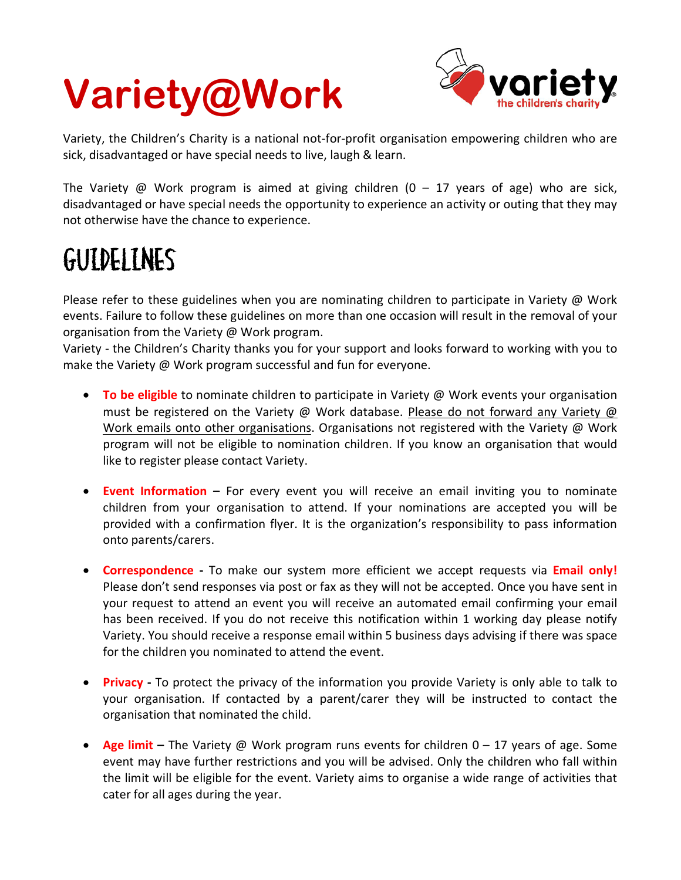## **Variety@Work**



Variety, the Children's Charity is a national not-for-profit organisation empowering children who are sick, disadvantaged or have special needs to live, laugh & learn.

The Variety @ Work program is aimed at giving children  $(0 - 17)$  years of age) who are sick, disadvantaged or have special needs the opportunity to experience an activity or outing that they may not otherwise have the chance to experience.

## GUIDELINES

Please refer to these guidelines when you are nominating children to participate in Variety @ Work events. Failure to follow these guidelines on more than one occasion will result in the removal of your organisation from the Variety @ Work program.

Variety - the Children's Charity thanks you for your support and looks forward to working with you to make the Variety @ Work program successful and fun for everyone.

- **To be eligible** to nominate children to participate in Variety @ Work events your organisation must be registered on the Variety @ Work database. Please do not forward any Variety @ Work emails onto other organisations. Organisations not registered with the Variety @ Work program will not be eligible to nomination children. If you know an organisation that would like to register please contact Variety.
- **Event Information –** For every event you will receive an email inviting you to nominate children from your organisation to attend. If your nominations are accepted you will be provided with a confirmation flyer. It is the organization's responsibility to pass information onto parents/carers.
- **Correspondence -** To make our system more efficient we accept requests via **Email only!** Please don't send responses via post or fax as they will not be accepted. Once you have sent in your request to attend an event you will receive an automated email confirming your email has been received. If you do not receive this notification within 1 working day please notify Variety. You should receive a response email within 5 business days advising if there was space for the children you nominated to attend the event.
- **Privacy -** To protect the privacy of the information you provide Variety is only able to talk to your organisation. If contacted by a parent/carer they will be instructed to contact the organisation that nominated the child.
- **Age limit –** The Variety @ Work program runs events for children 0 17 years of age. Some event may have further restrictions and you will be advised. Only the children who fall within the limit will be eligible for the event. Variety aims to organise a wide range of activities that cater for all ages during the year.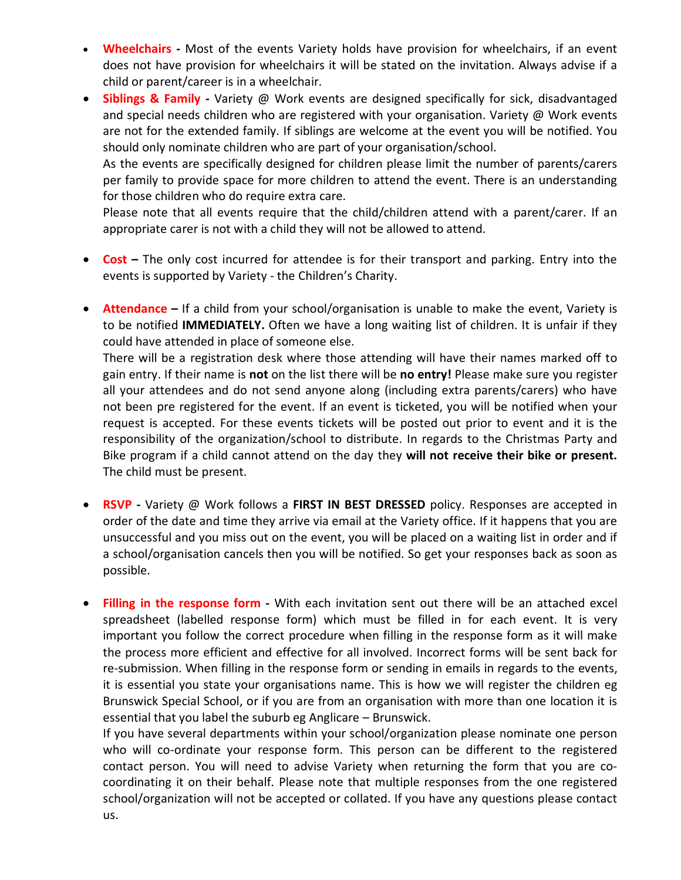- **Wheelchairs -** Most of the events Variety holds have provision for wheelchairs, if an event does not have provision for wheelchairs it will be stated on the invitation. Always advise if a child or parent/career is in a wheelchair.
- **Siblings & Family -** Variety @ Work events are designed specifically for sick, disadvantaged and special needs children who are registered with your organisation. Variety @ Work events are not for the extended family. If siblings are welcome at the event you will be notified. You should only nominate children who are part of your organisation/school.

As the events are specifically designed for children please limit the number of parents/carers per family to provide space for more children to attend the event. There is an understanding for those children who do require extra care.

Please note that all events require that the child/children attend with a parent/carer. If an appropriate carer is not with a child they will not be allowed to attend.

- **Cost –** The only cost incurred for attendee is for their transport and parking. Entry into the events is supported by Variety - the Children's Charity.
- **Attendance** If a child from your school/organisation is unable to make the event, Variety is to be notified **IMMEDIATELY.** Often we have a long waiting list of children. It is unfair if they could have attended in place of someone else.

There will be a registration desk where those attending will have their names marked off to gain entry. If their name is **not** on the list there will be **no entry!** Please make sure you register all your attendees and do not send anyone along (including extra parents/carers) who have not been pre registered for the event. If an event is ticketed, you will be notified when your request is accepted. For these events tickets will be posted out prior to event and it is the responsibility of the organization/school to distribute. In regards to the Christmas Party and Bike program if a child cannot attend on the day they **will not receive their bike or present.** The child must be present.

- **RSVP -** Variety @ Work follows a **FIRST IN BEST DRESSED** policy. Responses are accepted in order of the date and time they arrive via email at the Variety office. If it happens that you are unsuccessful and you miss out on the event, you will be placed on a waiting list in order and if a school/organisation cancels then you will be notified. So get your responses back as soon as possible.
- **Filling in the response form -** With each invitation sent out there will be an attached excel spreadsheet (labelled response form) which must be filled in for each event. It is very important you follow the correct procedure when filling in the response form as it will make the process more efficient and effective for all involved. Incorrect forms will be sent back for re-submission. When filling in the response form or sending in emails in regards to the events, it is essential you state your organisations name. This is how we will register the children eg Brunswick Special School, or if you are from an organisation with more than one location it is essential that you label the suburb eg Anglicare – Brunswick.

If you have several departments within your school/organization please nominate one person who will co-ordinate your response form. This person can be different to the registered contact person. You will need to advise Variety when returning the form that you are cocoordinating it on their behalf. Please note that multiple responses from the one registered school/organization will not be accepted or collated. If you have any questions please contact us.